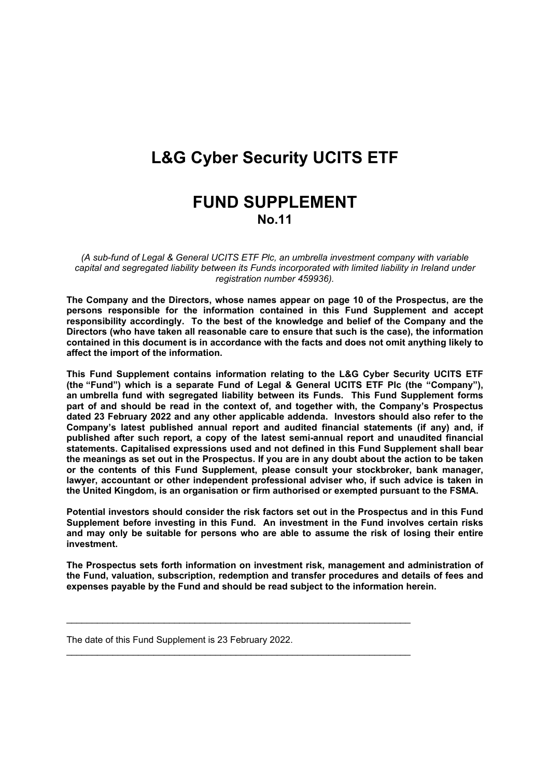# **L&G Cyber Security UCITS ETF**

# **FUND SUPPLEMENT No.11**

*(A sub-fund of Legal & General UCITS ETF Plc, an umbrella investment company with variable capital and segregated liability between its Funds incorporated with limited liability in Ireland under registration number 459936).*

**The Company and the Directors, whose names appear on page 10 of the Prospectus, are the persons responsible for the information contained in this Fund Supplement and accept responsibility accordingly. To the best of the knowledge and belief of the Company and the Directors (who have taken all reasonable care to ensure that such is the case), the information contained in this document is in accordance with the facts and does not omit anything likely to affect the import of the information.**

**This Fund Supplement contains information relating to the L&G Cyber Security UCITS ETF (the "Fund") which is a separate Fund of Legal & General UCITS ETF Plc (the "Company"), an umbrella fund with segregated liability between its Funds. This Fund Supplement forms part of and should be read in the context of, and together with, the Company's Prospectus dated 23 February 2022 and any other applicable addenda. Investors should also refer to the Company's latest published annual report and audited financial statements (if any) and, if published after such report, a copy of the latest semi-annual report and unaudited financial statements. Capitalised expressions used and not defined in this Fund Supplement shall bear** the meanings as set out in the Prospectus. If you are in any doubt about the action to be taken **or the contents of this Fund Supplement, please consult your stockbroker, bank manager, lawyer, accountant or other independent professional adviser who, if such advice is taken in the United Kingdom, is an organisation or firm authorised or exempted pursuant to the FSMA.**

**Potential investors should consider the risk factors set out in the Prospectus and in this Fund Supplement before investing in this Fund. An investment in the Fund involves certain risks and may only be suitable for persons who are able to assume the risk of losing their entire investment.**

**The Prospectus sets forth information on investment risk, management and administration of the Fund, valuation, subscription, redemption and transfer procedures and details of fees and expenses payable by the Fund and should be read subject to the information herein.**

\_\_\_\_\_\_\_\_\_\_\_\_\_\_\_\_\_\_\_\_\_\_\_\_\_\_\_\_\_\_\_\_\_\_\_\_\_\_\_\_\_\_\_\_\_\_\_\_\_\_\_\_\_\_\_\_\_\_\_\_\_\_\_\_\_\_\_

\_\_\_\_\_\_\_\_\_\_\_\_\_\_\_\_\_\_\_\_\_\_\_\_\_\_\_\_\_\_\_\_\_\_\_\_\_\_\_\_\_\_\_\_\_\_\_\_\_\_\_\_\_\_\_\_\_\_\_\_\_\_\_\_\_\_\_

The date of this Fund Supplement is 23 February 2022.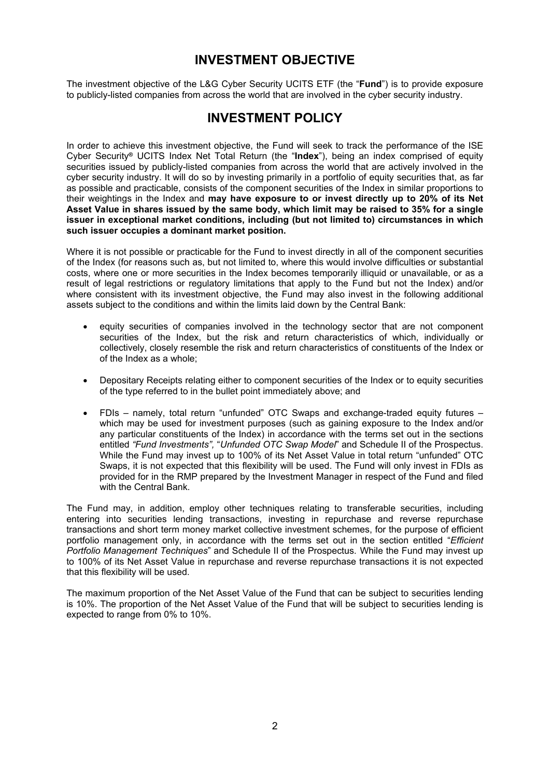# **INVESTMENT OBJECTIVE**

The investment objective of the L&G Cyber Security UCITS ETF (the "**Fund**") is to provide exposure to publicly-listed companies from across the world that are involved in the cyber security industry.

### **INVESTMENT POLICY**

In order to achieve this investment objective, the Fund will seek to track the performance of the ISE Cyber Security**®** UCITS Index Net Total Return (the "**Index**"), being an index comprised of equity securities issued by publicly-listed companies from across the world that are actively involved in the cyber security industry. It will do so by investing primarily in a portfolio of equity securities that, as far as possible and practicable, consists of the component securities of the Index in similar proportions to their weightings in the Index and **may have exposure to or invest directly up to 20% of its Net** Asset Value in shares issued by the same body, which limit may be raised to 35% for a single **issuer in exceptional market conditions, including (but not limited to) circumstances in which such issuer occupies a dominant market position.**

Where it is not possible or practicable for the Fund to invest directly in all of the component securities of the Index (for reasons such as, but not limited to, where this would involve difficulties or substantial costs, where one or more securities in the Index becomes temporarily illiquid or unavailable, or as a result of legal restrictions or regulatory limitations that apply to the Fund but not the Index) and/or where consistent with its investment objective, the Fund may also invest in the following additional assets subject to the conditions and within the limits laid down by the Central Bank:

- equity securities of companies involved in the technology sector that are not component securities of the Index, but the risk and return characteristics of which, individually or collectively, closely resemble the risk and return characteristics of constituents of the Index or of the Index as a whole;
- Depositary Receipts relating either to component securities of the Index or to equity securities of the type referred to in the bullet point immediately above; and
- FDIs namely, total return "unfunded" OTC Swaps and exchange-traded equity futures which may be used for investment purposes (such as gaining exposure to the Index and/or any particular constituents of the Index) in accordance with the terms set out in the sections entitled *"Fund Investments",* "*Unfunded OTC Swap Model*" and Schedule II of the Prospectus. While the Fund may invest up to 100% of its Net Asset Value in total return "unfunded" OTC Swaps, it is not expected that this flexibility will be used. The Fund will only invest in FDIs as provided for in the RMP prepared by the Investment Manager in respect of the Fund and filed with the Central Bank.

The Fund may, in addition, employ other techniques relating to transferable securities, including entering into securities lending transactions, investing in repurchase and reverse repurchase transactions and short term money market collective investment schemes, for the purpose of efficient portfolio management only, in accordance with the terms set out in the section entitled "*Efficient Portfolio Management Techniques*" and Schedule II of the Prospectus. While the Fund may invest up to 100% of its Net Asset Value in repurchase and reverse repurchase transactions it is not expected that this flexibility will be used.

The maximum proportion of the Net Asset Value of the Fund that can be subject to securities lending is 10%. The proportion of the Net Asset Value of the Fund that will be subject to securities lending is expected to range from 0% to 10%.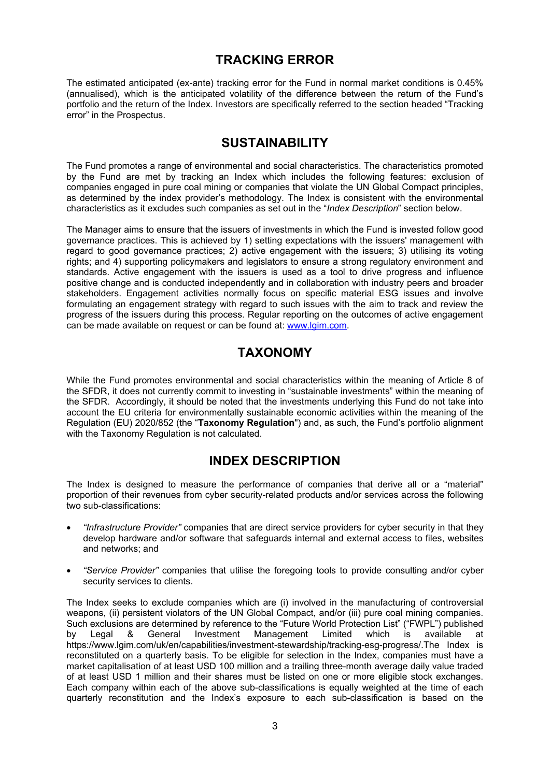# **TRACKING ERROR**

The estimated anticipated (ex-ante) tracking error for the Fund in normal market conditions is 0.45% (annualised), which is the anticipated volatility of the difference between the return of the Fund's portfolio and the return of the Index. Investors are specifically referred to the section headed "Tracking error" in the Prospectus.

# **SUSTAINABILITY**

The Fund promotes a range of environmental and social characteristics. The characteristics promoted by the Fund are met by tracking an Index which includes the following features: exclusion of companies engaged in pure coal mining or companies that violate the UN Global Compact principles, as determined by the index provider's methodology. The Index is consistent with the environmental characteristics as it excludes such companies as set out in the "*Index Description*" section below.

The Manager aims to ensure that the issuers of investments in which the Fund is invested follow good governance practices. This is achieved by 1) setting expectations with the issuers' management with regard to good governance practices; 2) active engagement with the issuers; 3) utilising its voting rights; and 4) supporting policymakers and legislators to ensure a strong regulatory environment and standards. Active engagement with the issuers is used as a tool to drive progress and influence positive change and is conducted independently and in collaboration with industry peers and broader stakeholders. Engagement activities normally focus on specific material ESG issues and involve formulating an engagement strategy with regard to such issues with the aim to track and review the progress of the issuers during this process. Regular reporting on the outcomes of active engagement can be made available on request or can be found at: [www.lgim.com](https://eur03.safelinks.protection.outlook.com/?url=http%3A%2F%2Fwww.lgim.com%2F&data=04%7C01%7CEliza.Ruddy%40lgim.com%7Ce086a20842c84f1301b008d8ccf7a064%7Cd246baabcc004ed2bc4ef8a46cbc590d%7C0%7C0%7C637484711205446679%7CUnknown%7CTWFpbGZsb3d8eyJWIjoiMC4wLjAwMDAiLCJQIjoiV2luMzIiLCJBTiI6Ik1haWwiLCJXVCI6Mn0%3D%7C1000&sdata=R6FKZDSBDWvzOmay7OEPMexWEUA2HZdkEFwKOofiW%2FM%3D&reserved=0).

# **TAXONOMY**

While the Fund promotes environmental and social characteristics within the meaning of Article 8 of the SFDR, it does not currently commit to investing in "sustainable investments" within the meaning of the SFDR. Accordingly, it should be noted that the investments underlying this Fund do not take into account the EU criteria for environmentally sustainable economic activities within the meaning of the Regulation (EU) 2020/852 (the "**Taxonomy Regulation**") and, as such, the Fund's portfolio alignment with the Taxonomy Regulation is not calculated.

### **INDEX DESCRIPTION**

The Index is designed to measure the performance of companies that derive all or a "material" proportion of their revenues from cyber security-related products and/or services across the following two sub-classifications:

- *"Infrastructure Provider"* companies that are direct service providers for cyber security in that they develop hardware and/or software that safeguards internal and external access to files, websites and networks; and
- *"Service Provider"* companies that utilise the foregoing tools to provide consulting and/or cyber security services to clients.

The Index seeks to exclude companies which are (i) involved in the manufacturing of controversial weapons, (ii) persistent violators of the UN Global Compact, and/or (iii) pure coal mining companies. Such exclusions are determined by reference to the "Future World Protection List" ("FWPL") published by Legal & General Investment Management Limited which is available at https://www.lgim.com/uk/en/capabilities/investment-stewardship/tracking-esg-progress/.The Index is reconstituted on a quarterly basis. To be eligible for selection in the Index, companies must have a market capitalisation of at least USD 100 million and a trailing three-month average daily value traded of at least USD 1 million and their shares must be listed on one or more eligible stock exchanges. Each company within each of the above sub-classifications is equally weighted at the time of each quarterly reconstitution and the Index's exposure to each sub-classification is based on the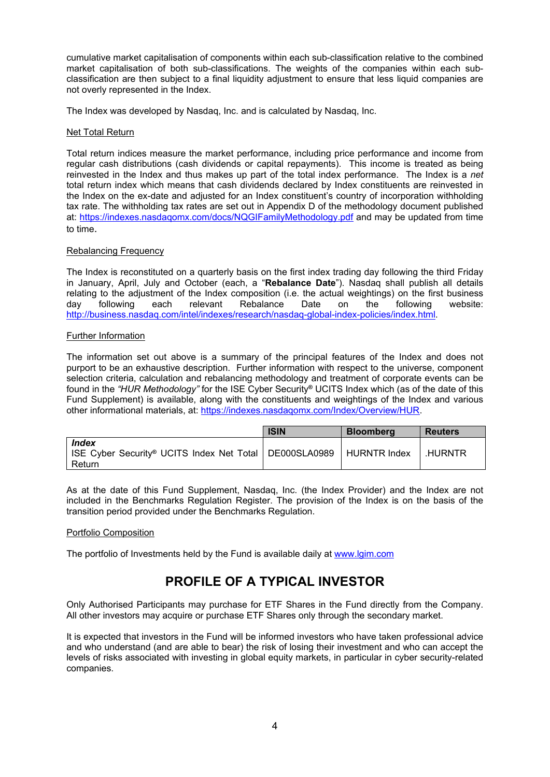cumulative market capitalisation of components within each sub-classification relative to the combined market capitalisation of both sub-classifications. The weights of the companies within each subclassification are then subject to a final liquidity adjustment to ensure that less liquid companies are not overly represented in the Index.

The Index was developed by Nasdaq, Inc. and is calculated by Nasdaq, Inc.

#### Net Total Return

Total return indices measure the market performance, including price performance and income from regular cash distributions (cash dividends or capital repayments). This income is treated as being reinvested in the Index and thus makes up part of the total index performance. The Index is a *net* total return index which means that cash dividends declared by Index constituents are reinvested in the Index on the ex-date and adjusted for an Index constituent's country of incorporation withholding tax rate. The withholding tax rates are set out in Appendix D of the methodology document published at: <https://indexes.nasdaqomx.com/docs/NQGIFamilyMethodology.pdf> and may be updated from time to time.

#### Rebalancing Frequency

The Index is reconstituted on a quarterly basis on the first index trading day following the third Friday in January, April, July and October (each, a "**Rebalance Date**"). Nasdaq shall publish all details relating to the adjustment of the Index composition (i.e. the actual weightings) on the first business day following each relevant Rebalance Date on the following website: [http://business.nasdaq.com/intel/indexes/research/nasdaq-global-index-policies/index.html.](http://business.nasdaq.com/intel/indexes/research/nasdaq-global-index-policies/index.html)

#### Further Information

The information set out above is a summary of the principal features of the Index and does not purport to be an exhaustive description. Further information with respect to the universe, component selection criteria, calculation and rebalancing methodology and treatment of corporate events can be found in the *"HUR Methodology"* for the ISE Cyber Security**®** UCITS Index which (as of the date of this Fund Supplement) is available, along with the constituents and weightings of the Index and various other informational materials, at: <https://indexes.nasdaqomx.com/Index/Overview/HUR>.

|                                                                                                     | <b>ISIN</b> | <b>Bloomberg</b> | <b>Reuters</b> |
|-----------------------------------------------------------------------------------------------------|-------------|------------------|----------------|
| <b>Index</b><br>  ISE Cyber Security® UCITS Index Net Total   DE000SLA0989   HURNTR Index<br>Return |             |                  | <b>HURNTR</b>  |

As at the date of this Fund Supplement, Nasdaq, Inc. (the Index Provider) and the Index are not included in the Benchmarks Regulation Register. The provision of the Index is on the basis of the transition period provided under the Benchmarks Regulation.

#### Portfolio Composition

The portfolio of Investments held by the Fund is available daily at [www.lgim.com](http://www.lgim.com/) 

# **PROFILE OF A TYPICAL INVESTOR**

Only Authorised Participants may purchase for ETF Shares in the Fund directly from the Company. All other investors may acquire or purchase ETF Shares only through the secondary market.

It is expected that investors in the Fund will be informed investors who have taken professional advice and who understand (and are able to bear) the risk of losing their investment and who can accept the levels of risks associated with investing in global equity markets, in particular in cyber security-related companies.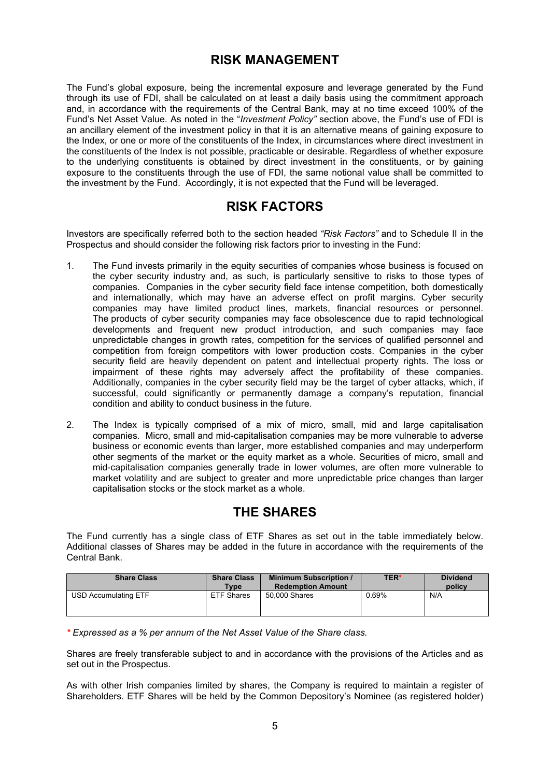## **RISK MANAGEMENT**

The Fund's global exposure, being the incremental exposure and leverage generated by the Fund through its use of FDI, shall be calculated on at least a daily basis using the commitment approach and, in accordance with the requirements of the Central Bank, may at no time exceed 100% of the Fund's Net Asset Value. As noted in the "*Investment Policy"* section above, the Fund's use of FDI is an ancillary element of the investment policy in that it is an alternative means of gaining exposure to the Index, or one or more of the constituents of the Index, in circumstances where direct investment in the constituents of the Index is not possible, practicable or desirable. Regardless of whether exposure to the underlying constituents is obtained by direct investment in the constituents, or by gaining exposure to the constituents through the use of FDI, the same notional value shall be committed to the investment by the Fund. Accordingly, it is not expected that the Fund will be leveraged.

## **RISK FACTORS**

Investors are specifically referred both to the section headed *"Risk Factors"* and to Schedule II in the Prospectus and should consider the following risk factors prior to investing in the Fund:

- 1. The Fund invests primarily in the equity securities of companies whose business is focused on the cyber security industry and, as such, is particularly sensitive to risks to those types of companies. Companies in the cyber security field face intense competition, both domestically and internationally, which may have an adverse effect on profit margins. Cyber security companies may have limited product lines, markets, financial resources or personnel. The products of cyber security companies may face obsolescence due to rapid technological developments and frequent new product introduction, and such companies may face unpredictable changes in growth rates, competition for the services of qualified personnel and competition from foreign competitors with lower production costs. Companies in the cyber security field are heavily dependent on patent and intellectual property rights. The loss or impairment of these rights may adversely affect the profitability of these companies. Additionally, companies in the cyber security field may be the target of cyber attacks, which, if successful, could significantly or permanently damage a company's reputation, financial condition and ability to conduct business in the future.
- 2. The Index is typically comprised of a mix of micro, small, mid and large capitalisation companies. Micro, small and mid-capitalisation companies may be more vulnerable to adverse business or economic events than larger, more established companies and may underperform other segments of the market or the equity market as a whole. Securities of micro, small and mid-capitalisation companies generally trade in lower volumes, are often more vulnerable to market volatility and are subject to greater and more unpredictable price changes than larger capitalisation stocks or the stock market as a whole.

# **THE SHARES**

The Fund currently has a single class of ETF Shares as set out in the table immediately below. Additional classes of Shares may be added in the future in accordance with the requirements of the Central Bank.

| <b>Share Class</b>   | <b>Share Class</b><br><b>Type</b> | <b>Minimum Subscription /</b><br><b>Redemption Amount</b> | <b>TER*</b> | <b>Dividend</b><br>policy |
|----------------------|-----------------------------------|-----------------------------------------------------------|-------------|---------------------------|
| USD Accumulating ETF | <b>ETF Shares</b>                 | 50,000 Shares                                             | 0.69%       | N/A                       |

*\* Expressed as a % per annum of the Net Asset Value of the Share class.*

Shares are freely transferable subject to and in accordance with the provisions of the Articles and as set out in the Prospectus.

As with other Irish companies limited by shares, the Company is required to maintain a register of Shareholders. ETF Shares will be held by the Common Depository's Nominee (as registered holder)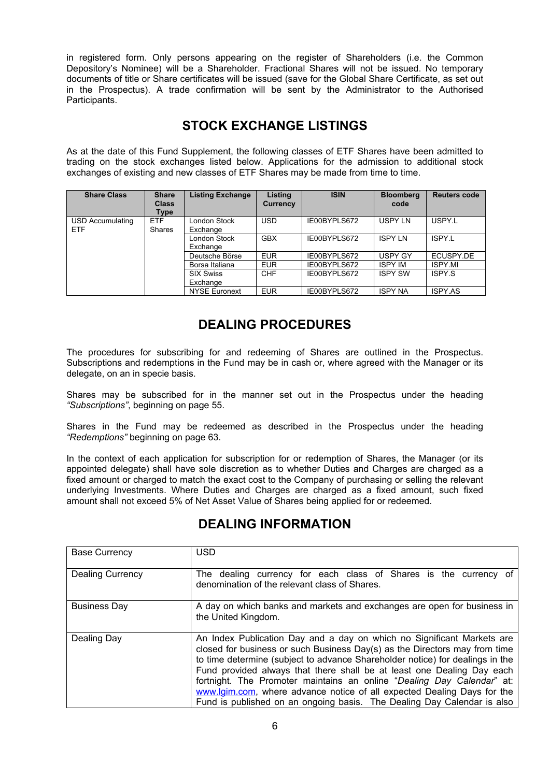in registered form. Only persons appearing on the register of Shareholders (i.e. the Common Depository's Nominee) will be a Shareholder. Fractional Shares will not be issued. No temporary documents of title or Share certificates will be issued (save for the Global Share Certificate, as set out in the Prospectus). A trade confirmation will be sent by the Administrator to the Authorised Participants.

# **STOCK EXCHANGE LISTINGS**

As at the date of this Fund Supplement, the following classes of ETF Shares have been admitted to trading on the stock exchanges listed below. Applications for the admission to additional stock exchanges of existing and new classes of ETF Shares may be made from time to time.

| <b>Share Class</b>             | <b>Share</b><br><b>Class</b><br>Type | <b>Listing Exchange</b>         | Listing<br><b>Currency</b> | <b>ISIN</b>  | <b>Bloomberg</b><br>code | <b>Reuters code</b> |
|--------------------------------|--------------------------------------|---------------------------------|----------------------------|--------------|--------------------------|---------------------|
| USD Accumulating<br><b>ETF</b> | <b>ETF</b><br><b>Shares</b>          | <b>London Stock</b><br>Exchange | <b>USD</b>                 | IE00BYPLS672 | USPY LN                  | USPY.L              |
|                                |                                      | London Stock<br>Exchange        | <b>GBX</b>                 | IE00BYPLS672 | <b>ISPY LN</b>           | ISPY.L              |
|                                |                                      | Deutsche Börse                  | <b>EUR</b>                 | IE00BYPLS672 | <b>USPY GY</b>           | ECUSPY.DE           |
|                                |                                      | Borsa Italiana                  | <b>EUR</b>                 | IE00BYPLS672 | <b>ISPY IM</b>           | <b>ISPY.MI</b>      |
|                                |                                      | <b>SIX Swiss</b>                | <b>CHF</b>                 | IE00BYPLS672 | <b>ISPY SW</b>           | ISPY S              |
|                                |                                      | Exchange                        |                            |              |                          |                     |
|                                |                                      | <b>NYSE Euronext</b>            | <b>EUR</b>                 | IE00BYPLS672 | <b>ISPY NA</b>           | <b>ISPY AS</b>      |

# **DEALING PROCEDURES**

The procedures for subscribing for and redeeming of Shares are outlined in the Prospectus. Subscriptions and redemptions in the Fund may be in cash or, where agreed with the Manager or its delegate, on an in specie basis.

Shares may be subscribed for in the manner set out in the Prospectus under the heading *"Subscriptions"*, beginning on page 55.

Shares in the Fund may be redeemed as described in the Prospectus under the heading *"Redemptions"* beginning on page 63.

In the context of each application for subscription for or redemption of Shares, the Manager (or its appointed delegate) shall have sole discretion as to whether Duties and Charges are charged as a fixed amount or charged to match the exact cost to the Company of purchasing or selling the relevant underlying Investments. Where Duties and Charges are charged as a fixed amount, such fixed amount shall not exceed 5% of Net Asset Value of Shares being applied for or redeemed.

| <b>Base Currency</b>    | <b>USD</b>                                                                                                                                                                                                                                                                                                                                                                                                                                                                                                                                      |
|-------------------------|-------------------------------------------------------------------------------------------------------------------------------------------------------------------------------------------------------------------------------------------------------------------------------------------------------------------------------------------------------------------------------------------------------------------------------------------------------------------------------------------------------------------------------------------------|
| <b>Dealing Currency</b> | The dealing currency for each class of Shares is the currency of<br>denomination of the relevant class of Shares.                                                                                                                                                                                                                                                                                                                                                                                                                               |
| <b>Business Day</b>     | A day on which banks and markets and exchanges are open for business in<br>the United Kingdom.                                                                                                                                                                                                                                                                                                                                                                                                                                                  |
| Dealing Day             | An Index Publication Day and a day on which no Significant Markets are<br>closed for business or such Business Day(s) as the Directors may from time<br>to time determine (subject to advance Shareholder notice) for dealings in the<br>Fund provided always that there shall be at least one Dealing Day each<br>fortnight. The Promoter maintains an online "Dealing Day Calendar" at:<br>www.lgim.com, where advance notice of all expected Dealing Days for the<br>Fund is published on an ongoing basis. The Dealing Day Calendar is also |

# **DEALING INFORMATION**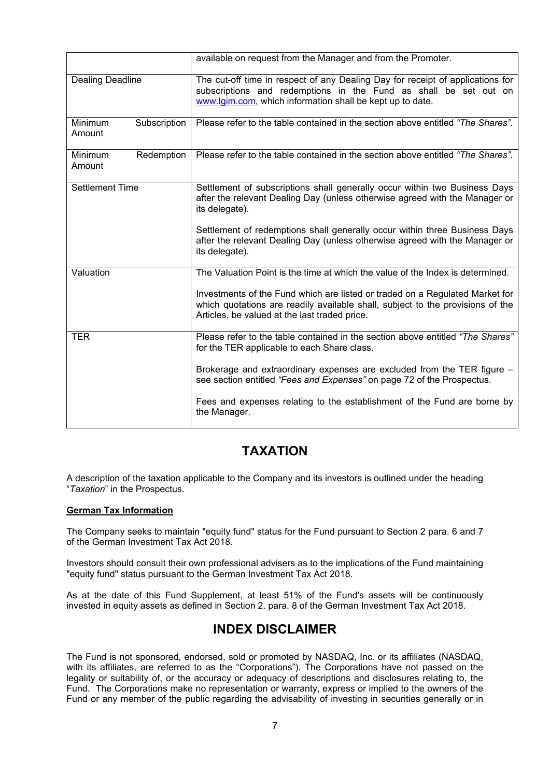|                                   | available on request from the Manager and from the Promoter.                                                                                                                                                    |
|-----------------------------------|-----------------------------------------------------------------------------------------------------------------------------------------------------------------------------------------------------------------|
| <b>Dealing Deadline</b>           | The cut-off time in respect of any Dealing Day for receipt of applications for<br>subscriptions and redemptions in the Fund as shall be set out on<br>www.lgim.com, which information shall be kept up to date. |
| Minimum<br>Subscription<br>Amount | Please refer to the table contained in the section above entitled "The Shares".                                                                                                                                 |
| Minimum<br>Redemption<br>Amount   | Please refer to the table contained in the section above entitled "The Shares".                                                                                                                                 |
| <b>Settlement Time</b>            | Settlement of subscriptions shall generally occur within two Business Days<br>after the relevant Dealing Day (unless otherwise agreed with the Manager or<br>its delegate).                                     |
|                                   | Settlement of redemptions shall generally occur within three Business Days<br>after the relevant Dealing Day (unless otherwise agreed with the Manager or<br>its delegate).                                     |
| Valuation                         | The Valuation Point is the time at which the value of the Index is determined.                                                                                                                                  |
|                                   | Investments of the Fund which are listed or traded on a Regulated Market for<br>which quotations are readily available shall, subject to the provisions of the<br>Articles, be valued at the last traded price. |
| <b>TER</b>                        | Please refer to the table contained in the section above entitled "The Shares"<br>for the TER applicable to each Share class.                                                                                   |
|                                   | Brokerage and extraordinary expenses are excluded from the TER figure -<br>see section entitled "Fees and Expenses" on page 72 of the Prospectus.                                                               |
|                                   | Fees and expenses relating to the establishment of the Fund are borne by<br>the Manager.                                                                                                                        |

## **TAXATION**

A description of the taxation applicable to the Company and its investors is outlined under the heading "*Taxation*" in the Prospectus.

#### **German Tax Information**

The Company seeks to maintain "equity fund" status for the Fund pursuant to Section 2 para. 6 and 7 of the German Investment Tax Act 2018.

Investors should consult their own professional advisers as to the implications of the Fund maintaining "equity fund" status pursuant to the German Investment Tax Act 2018.

As at the date of this Fund Supplement, at least 51% of the Fund's assets will be continuously invested in equity assets as defined in Section 2. para. 8 of the German Investment Tax Act 2018.

### **INDEX DISCLAIMER**

The Fund is not sponsored, endorsed, sold or promoted by NASDAQ, Inc. or its affiliates (NASDAQ, with its affiliates, are referred to as the "Corporations"). The Corporations have not passed on the legality or suitability of, or the accuracy or adequacy of descriptions and disclosures relating to, the Fund. The Corporations make no representation or warranty, express or implied to the owners of the Fund or any member of the public regarding the advisability of investing in securities generally or in